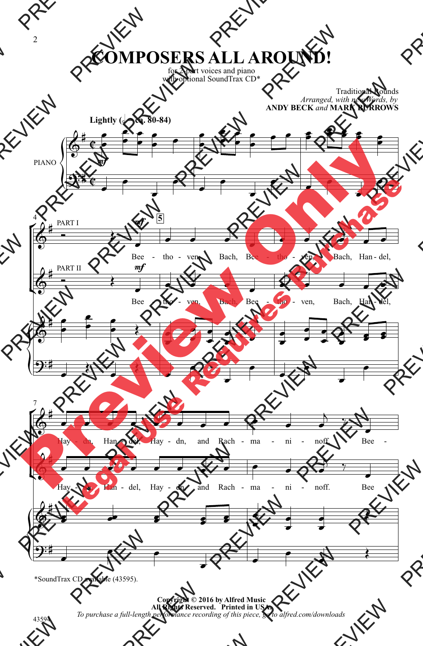## **COMPOSERS ALL AROUND!**

for 2-part voices and piano with optional SoundTrax CD<sup>\*</sup>

> Traditional Rounds *Arranged, with new Words, by* **ANDY BECK** *and* **MARK BURROWS**



\*SoundTrax CD available (43595).

**Copyright © 2016 by Alfred Music All Rights Reserved. Printed in USA.** *To purchase a full-length performance recording of this piece, go to alfred.com/downloads*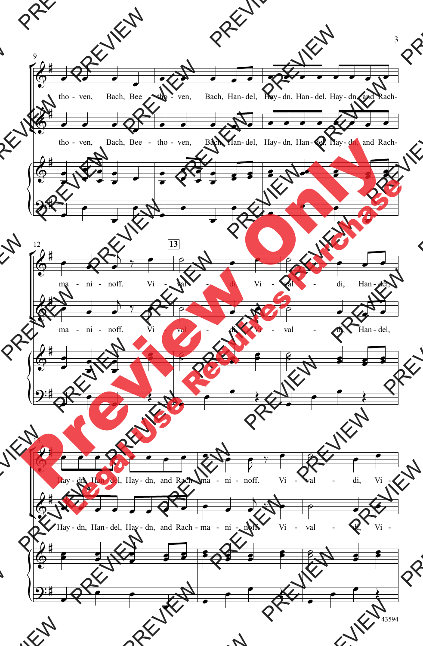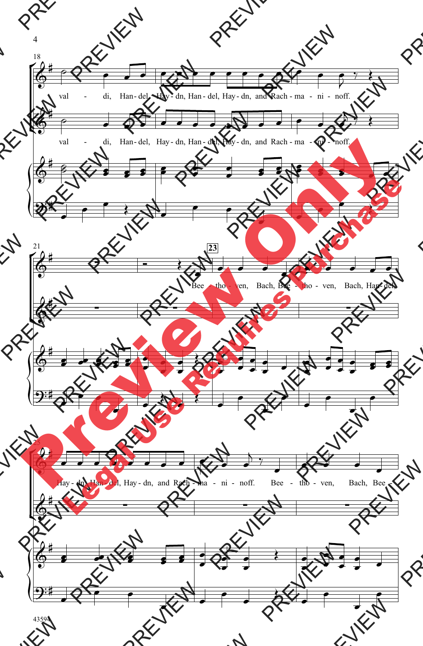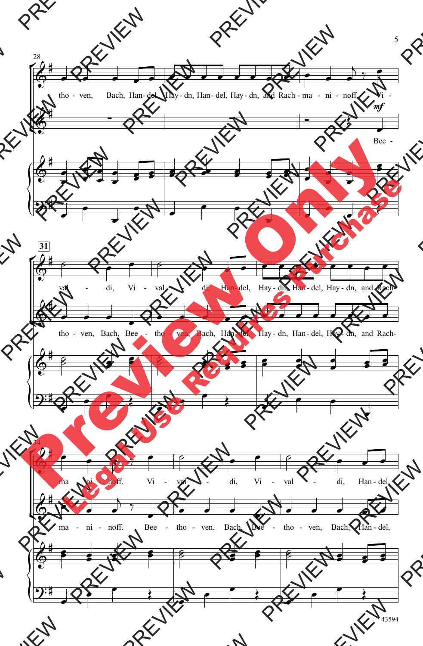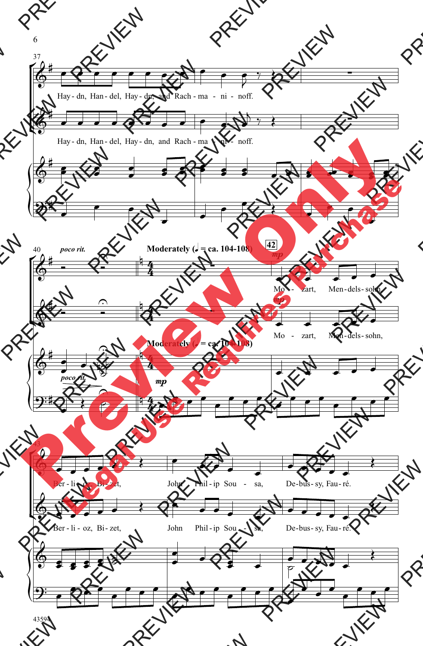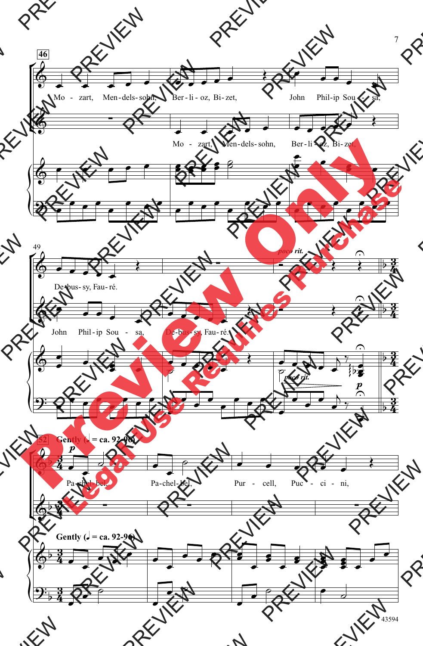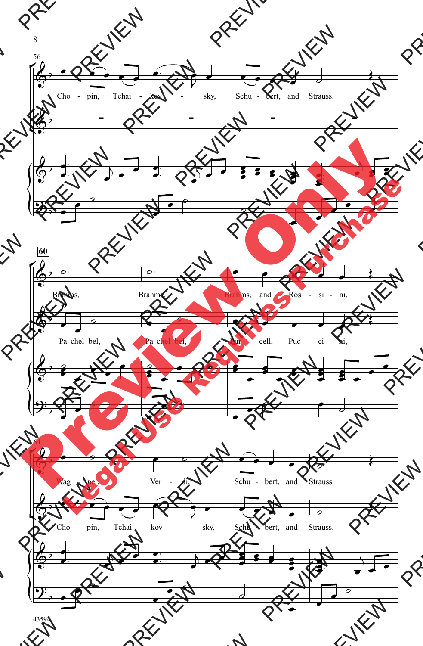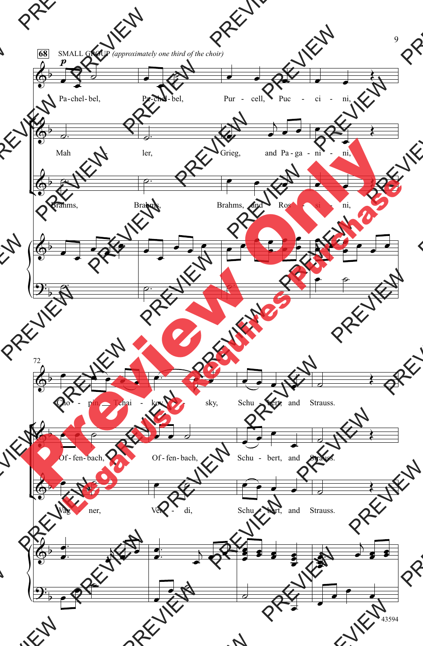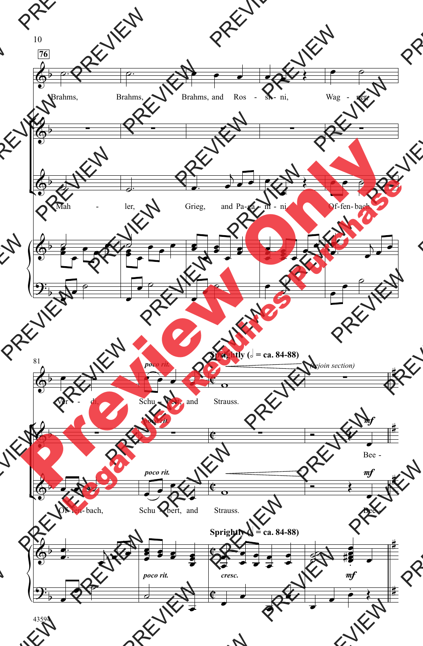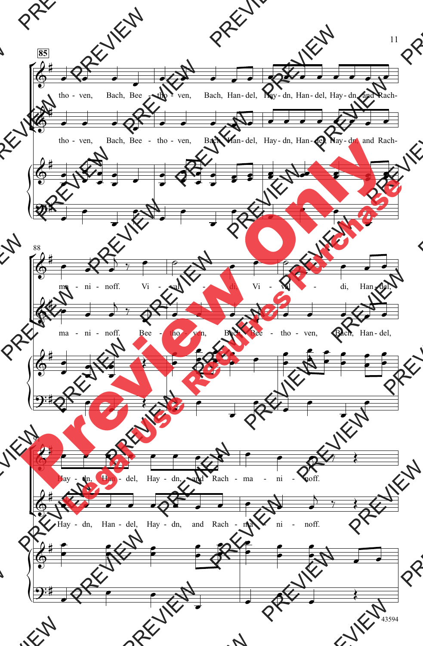